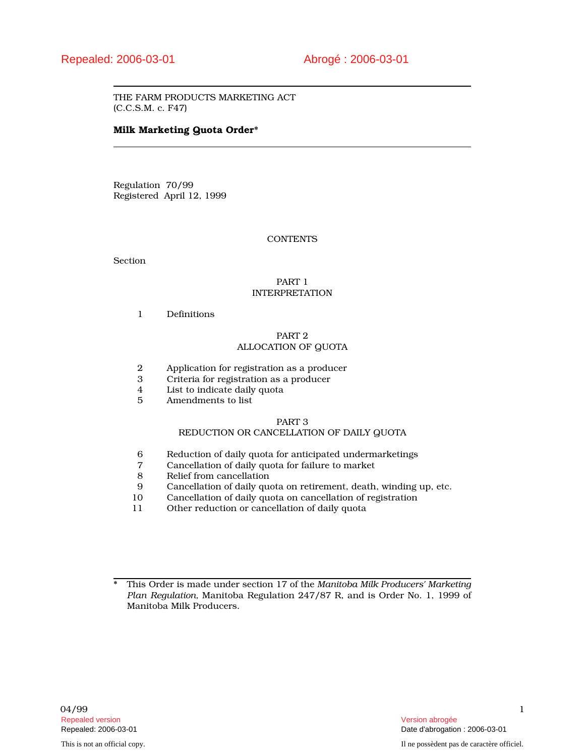THE FARM PRODUCTS MARKETING ACT (C.C.S.M. c. F47)

# Milk Marketing Quota Order\*

Regulation 70/99 Registered April 12, 1999

# **CONTENTS**

Section

# PART 1 INTERPRETATION

1 Definitions

# PART 2 ALLOCATION OF QUOTA

- 2 Application for registration as a producer
- 3 Criteria for registration as a producer
- 4 List to indicate daily quota
- 5 Amendments to list

# PART 3

# REDUCTION OR CANCELLATION OF DAILY QUOTA

- 6 Reduction of daily quota for anticipated undermarketings
- 7 Cancellation of daily quota for failure to market
- 8 Relief from cancellation
- 9 Cancellation of daily quota on retirement, death, winding up, etc.
- 10 Cancellation of daily quota on cancellation of registration
- 11 Other reduction or cancellation of daily quota

<sup>\*</sup> This Order is made under section 17 of the *Manitoba Milk Producers' Marketing Plan Regulation,* Manitoba Regulation 247/87 R, and is Order No. 1, 1999 of Manitoba Milk Producers.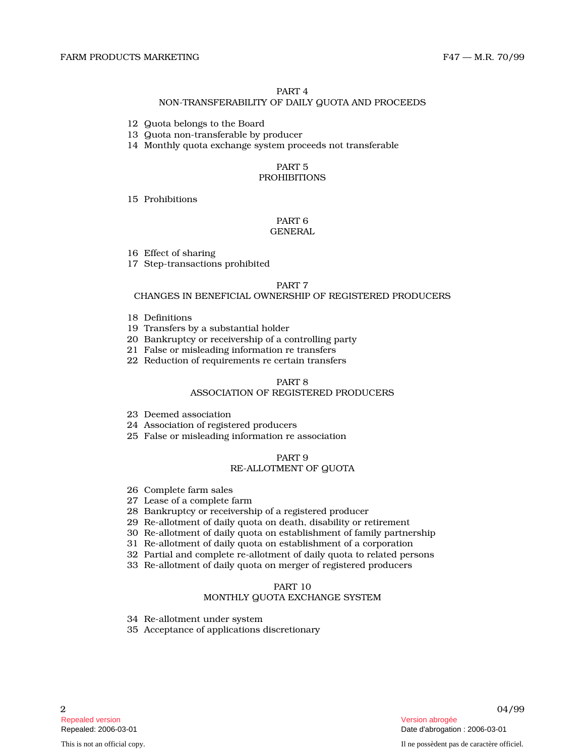## PART 4

## NON-TRANSFERABILITY OF DAILY QUOTA AND PROCEEDS

- 12 Quota belongs to the Board
- 13 Quota non-transferable by producer
- 14 Monthly quota exchange system proceeds not transferable

# PART 5

# **PROHIBITIONS**

# 15 Prohibitions

#### PART 6 GENERAL

- 16 Effect of sharing
- 17 Step-transactions prohibited

# PART 7

# CHANGES IN BENEFICIAL OWNERSHIP OF REGISTERED PRODUCERS

- 18 Definitions
- 19 Transfers by a substantial holder
- 20 Bankruptcy or receivership of a controlling party
- 21 False or misleading information re transfers
- 22 Reduction of requirements re certain transfers

# PART 8

# ASSOCIATION OF REGISTERED PRODUCERS

- 23 Deemed association
- 24 Association of registered producers
- 25 False or misleading information re association

#### PART 9 RE-ALLOTMENT OF QUOTA

- 26 Complete farm sales
- 27 Lease of a complete farm
- 28 Bankruptcy or receivership of a registered producer
- 29 Re-allotment of daily quota on death, disability or retirement
- 30 Re-allotment of daily quota on establishment of family partnership
- 31 Re-allotment of daily quota on establishment of a corporation
- 32 Partial and complete re-allotment of daily quota to related persons
- 33 Re-allotment of daily quota on merger of registered producers

# PART 10

# MONTHLY QUOTA EXCHANGE SYSTEM

- 34 Re-allotment under system
- 35 Acceptance of applications discretionary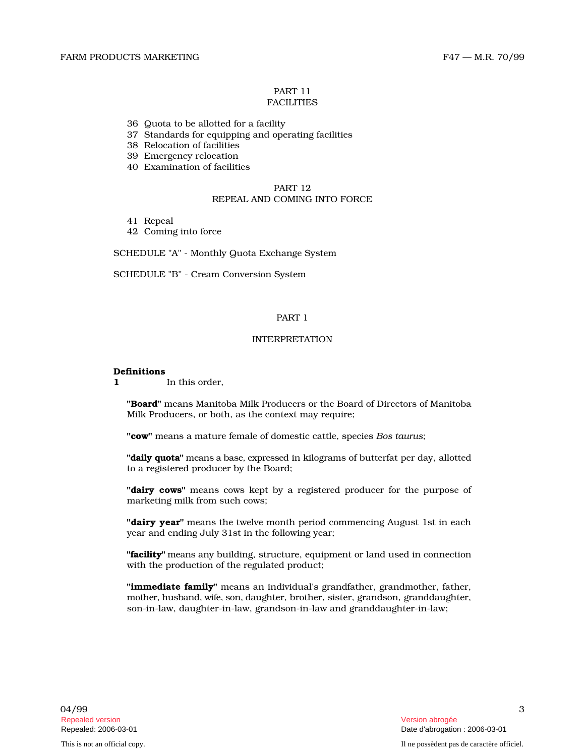#### PART 11 **FACILITIES**

- 36 Quota to be allotted for a facility
- 37 Standards for equipping and operating facilities
- 38 Relocation of facilities
- 39 Emergency relocation
- 40 Examination of facilities

# PART 12 REPEAL AND COMING INTO FORCE

- 41 Repeal
- 42 Coming into force

SCHEDULE "A" - Monthly Quota Exchange System

SCHEDULE "B" - Cream Conversion System

# PART 1

# INTERPRETATION

#### Definitions

1 In this order.

"Board" means Manitoba Milk Producers or the Board of Directors of Manitoba Milk Producers, or both, as the context may require;

"cow" means a mature female of domestic cattle, species *Bos taurus* ;

"**daily quota**" means a base, expressed in kilograms of butterfat per day, allotted to a registered producer by the Board;

"dairy cows" means cows kept by a registered producer for the purpose of marketing milk from such cows;

"dairy year" means the twelve month period commencing August 1st in each year and ending July 31st in the following year;

"facility" means any building, structure, equipment or land used in connection with the production of the regulated product;

**"immediate family"** means an individual's grandfather, grandmother, father, mother, husband, wife, son, daughter, brother, sister, grandson, granddaughter, son-in-law, daughter-in-law, grandson-in-law and granddaughter-in-law;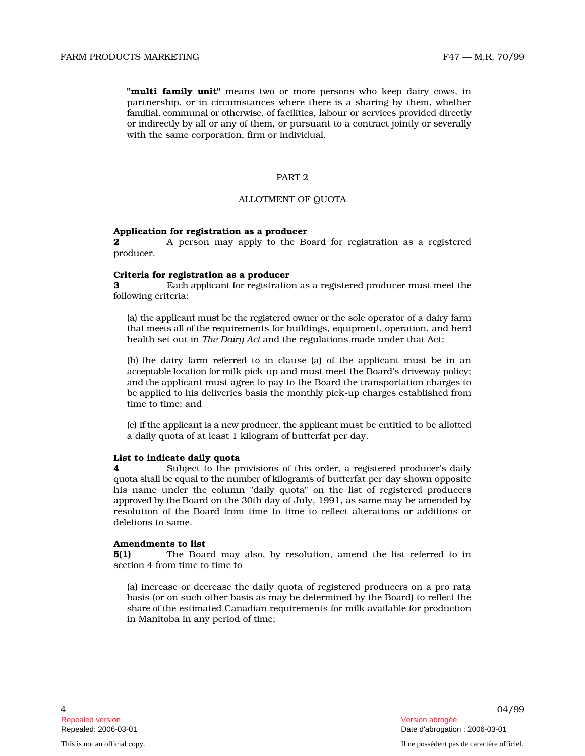with the same corporation, firm or individual.

#### PART 2

# ALLOTMENT OF QUOTA

# Application for registration as a producer

**2** A person may apply to the Board for registration as a registered producer.

# Criteria for registration as a producer

3 Each applicant for registration as a registered producer must meet the following criteria:

(a) the applicant must be the registered owner or the sole operator of a dairy farm th at mee ts all of the r e qu irements for buildings, equipment, operation, and herd health set out in *The Dairy Act* and the regulations made under that Act;

(b) the dairy farm referred to in clause (a) of the applicant must be in a n acceptable location for milk pick-up and must meet the Board's driveway policy; and th e applicant must agree to pay to the Board the transportation charges to b e applied to his deliveries basis the monthly pick-up charges established from time to time; and

(c) if the applicant is a n ew p r o d uce r, the appli c ant must be entitled to be allotted a daily quota of at least 1 kilogram of butterfat per day.

# List to indicate daily quota

Facture Interaction to the contract of the same process in the layer contract of the same interaction of the contract of the same corporation. If the contract jointly by them, when the contract jointly by since a contract **4** Subject to the provisions of this order, a registered producer's daily qu o ta s h all be e qu al to the n u mb er of kil o grams of butterfat per day shown opposite his name under the column "daily quota" on the list of registered producers app r oved by the Board on the 30th day of July, 1991, as same may be amended by resolution of the Board from time to time to reflect alterations or additions or deletions to same.

# Amendments to list

5(1) The Board may also, by resolution, amend the list referred to in section 4 from time to time to

(a) increase or decrease the daily quota of registered producers on a pro rata basis (or on such other basis as may be determined by the Board) to reflect the share of the estimated Canadian requirements for milk available for production in Manitoba in any period of time;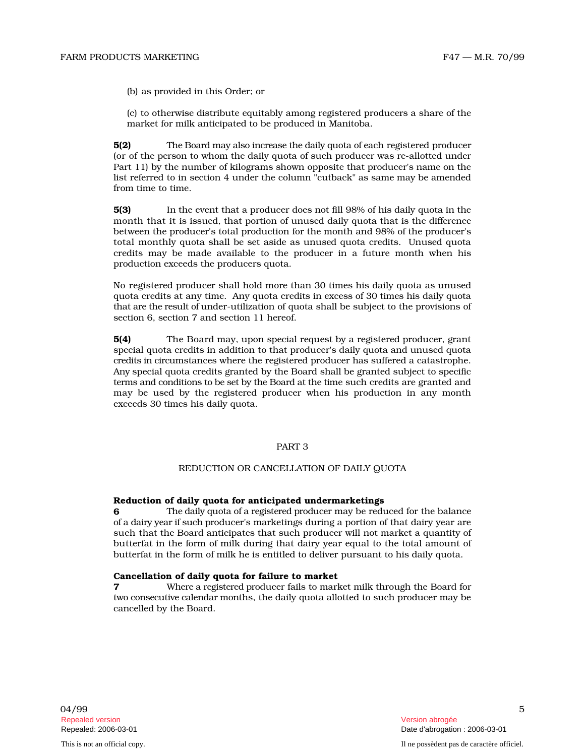(b) as provided in this Order; or

(c) to otherwise distribute equitably among registered producers a share of the market for milk anticipated to be produced in Manitoba.

5(2) The Board may also increase the daily quota of each registered producer (or of the person to whom the daily quota of such producer was re-allotted under Part 11) by the number of kilograms shown opposite that producer's name on the list r e ferr ed to in sec t i on 4 u n d er t he column "cutback" as same may be amended from time to time.

5(3) In the event that a producer does not fill 98% of his daily quota in the month that it is issued, that portion of unused daily quota that is the difference between the producer's total production for the month and 98% of the producer's total monthly quota shall be set aside as unused quota credits. Unused quota credits may be made available to the producer in a future month when his production exceeds the producers quota.

No registered producer shall hold more than 30 times his daily quota as unused quota credits at any time. Any quota credits in excess of 30 times his daily quota that are the result of under-utilization of quota shall be subject to the provisions of section 6, section 7 and section 11 hereof.

5(4) The Board may, upon special request by a registered producer, grant special quota credits in addition to that producer's daily quota and unused quota credits in circumstances where the registered producer has suffered a catastrophe. Any special quota credits granted by the Board shall be granted subject to specific terms and conditions to be set by the Board at the time such credits are granted and may be used by the registered producer when his production in any month exceeds 30 times his daily quota.

# PART 3

## REDUCTION OR CANCELLATION OF DAILY QUOTA

#### Reduction of daily quota for anticipated undermarketings

6 The daily quota of a registered producer may be reduced for the balance of a dairy year if such producer's marketings during a portion of that dairy year are such that the Board anticipates that such producer will not market a quantity of butterfat in the form of milk during that dairy year equal to the total amount of butterfat in the form of milk he is entitled to deliver pursuant to his daily quota.

## Cancellation of daily quota for failure to market

7 Where a registered producer fails to market milk through the Board for two consecutive calendar months, the daily quota allotted to such producer may be cancelled by the Board.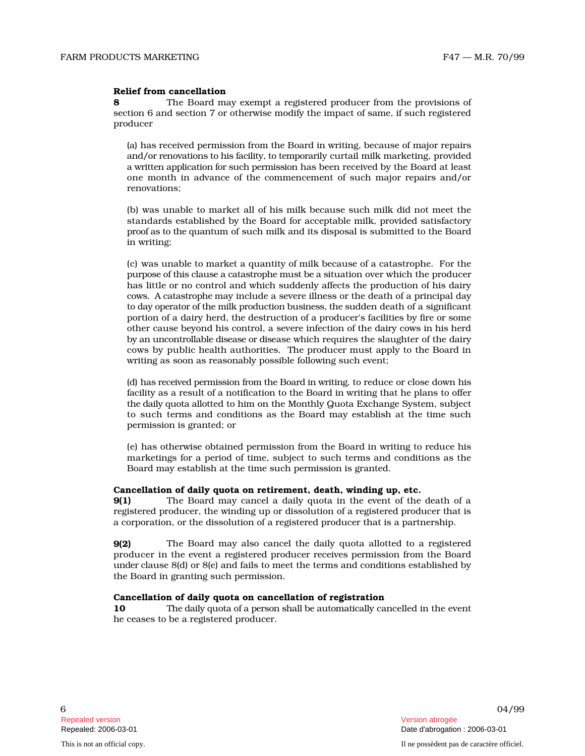# Relief from cancellation

8 The Board may exempt a registered producer from the provisions of section 6 and section 7 or otherwise modify the impact of same, if such registered producer

(a) has received permission from the Board in writing, because of major repairs and/or renovations to his facility, to temporarily curtail milk marketing, provided a written application for such permission has been received by the Board at least one month in advance of the commencement of such major repairs and/or renovations;

(b) was unable to market all of his milk because such milk did not meet the standards established by the Board for acceptable milk, provided satisfactory p roof as to the qu an tum of such milk and its disposal is submitted to the Board in writing;

(c) was unable to market a quantity of milk because of a catastrophe. For the purpose of this clause a catastrophe must be a situation over which the producer has little or no control and which suddenly affects the production of his dairy cows. A catastrophe may include a severe illness or the death of a principal day to day operator of the milk production business, the sudden death of a significant portion of a dairy herd, the destruction of a producer's facilities by fire or some other cause beyond his control, a severe infection of the dairy cows in his herd by an uncontrollable disease or disease which requires the slaughter of the dairy cows by public health authorities. The producer must apply to the Board in writing as soon as reasonably possible following such event;

(d) has received permission from the Board in writing, to reduce or close down his facility as a result of a notification to the Board in writing that he plans to offer the daily quota allotted to him on the Monthly Quota Exchange System, subject to such terms and conditions as the Board may establish at the time such permission is granted; or

(e) has otherwise obtained permission from the Board in writing to reduce his marketings for a period of time, subject to such terms and conditions as the Board may establish at the time such permission is granted.

# Cancellation of daily quota on retirement, death, winding up, etc.

9(1) The Board may cancel a daily quota in the event of the death of a registered producer, the winding up or dissolution of a registered producer that is a corporation, or the dissolution of a registered producer that is a partnership.

9(2) The Board may also cancel the daily quota allotted to a registered producer in the event a registered producer receives permission from the Board u n d er clause 8(d) or 8(e) and fails to meet the terms and conditions established by the Board in granting such permission.

# Cancellation of daily quota on cancellation of registration

10 The daily quota of a person shall be automatically cancelled in the event he ceases to be a registered producer.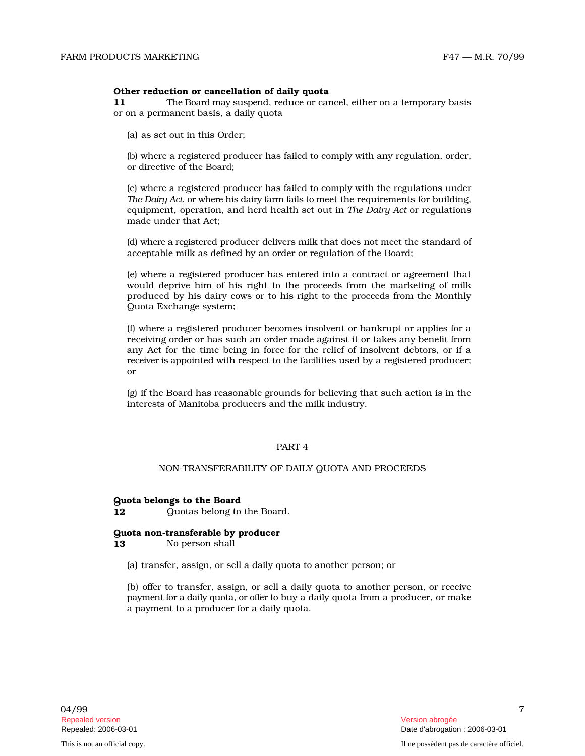#### Other reduction or cancellation of daily quota

11 The B o ard m ay s u s p end, reduce or cancel, either on a temporary basis or on a permanent basis, a daily quota

(a) as set out in this Order;

(b) where a registered producer has failed to comply with any regulation, order, or directive of the Board;

(c) where a registered producer has failed to comply with the regulations under *The Dairy Act*, or where his dairy farm fails to meet the requirements for building, equipment, operation, and herd health set out in The Dairy Act or regulations made under that Act;

(d) where a registered producer delivers milk that does not meet the standard of acceptable milk as defined by an order or regulation of the Board;

(e) where a registered producer has entered into a contract or agreement that would deprive him of his right to the proceeds from the marketing of milk produced by his dairy cows or to his right to the proceeds from the Monthly Quota Exchange system;

(f) where a registered producer becomes insolvent or bankrupt or applies for a receiving order or has such an order made against it or takes any benefit from any Act for the time being in force for the relief of insolvent debtors, or if a rece iver is appointed with respect to the facilities used by a registered producer; or

(g) if the Board has reasonable grounds for believing that such action is in the interests of Manitoba producers and the milk industry.

# PART 4

# NON-TRANSFERABILITY OF DAILY QUOTA AND PROCEEDS

#### Quota belongs to the Board

12 Quotas belong to the Board.

#### Quota non-transferable by producer

13 No person shall

(a) transfer, assign, or sell a daily quota to another person; or

(b) offer to transfer, assign, or sell a daily quota to another person, or receive payment for a daily quota, or offer to buy a daily quota from a producer, or make a payment to a producer for a daily quota.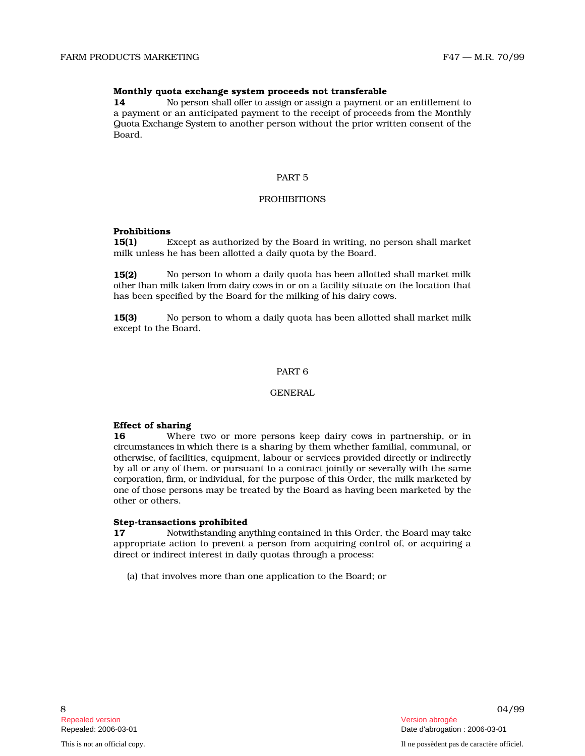# Monthly quota exchange system proceeds not transferable

14 No p e r s on s h all offer to ass i gn or assign a payment or an entitlement to a payment or an anticipated payment to the receipt of proceeds from the Monthly Q u o ta Exc h an ge Sy s t em to another person without the prior written consent of the Board.

# PART 5

# PROHIBITIONS

# Prohibitions

15(1) Except as authorized by the Board in writing, no person shall market milk unless he has been allotted a daily quota by the Board.

 $15(2)$ p e r s on to wh om a d aily q u o ta h as been all ott ed shall market milk o th er th an milk t aken fr om d ai ry c ows in or on a facility situate on the location that has been specified by the Board for the milking of his dairy cows.

 $15(3)$ p e r s on to wh om a d aily q u o ta h as been all ott ed shall market milk except to the Board.

# PART 6

# **GENERAL**

# Effect of sharing

16 Where two or more persons keep dairy cows in partnership, or in c i r c u m s t ances in which there is a sharing by them whether familial, communal, or o th e rwise, of facilities, equipment, labour or services provided directly or indirectly by all or any of them, or pursuant to a contract jointly or severally with the same corporation, firm, or individual, for the purpose of this Order, the milk marketed by o ne of those persons may be treated by the Board as having been marketed by the other or others.

# Step-transactions prohibited

17 N o twi th s t an d i ng anyth i ng contained in this Order, the Board may take appropriate action to prevent a person from acquiring control of, or acquiring a direct or indirect interest in daily quotas through a process:

(a) that involves more than one application to the Board; or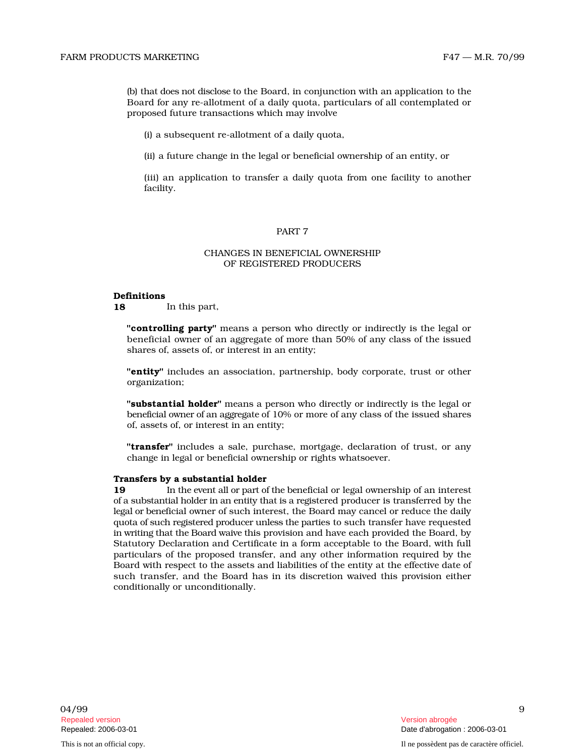(b) that does not disclose to the Board, in conjunction with an application to the Board for any re-allotment of a daily quota, particulars of all contemplated or proposed future transactions which may involve

(i) a subsequent re-allotment of a daily quota,

(ii) a future change in the legal or beneficial ownership of an entity, or

(iii) an application to transfer a daily quota from one facility to another facility.

#### PART 7

# CHANGES IN BENEFICIAL OWNERSHIP OF REGISTERED PRODUCERS

#### Definitions

18 In this part,

"controlling party" means a person who directly or indirectly is the legal or beneficial owner of an aggregate of more than 50% of any class of the issued shares of, assets of, or interest in an entity;

"**entity**" includes an association, partnership, body corporate, trust or other organization;

"substantial holder" means a person who directly or indirectly is the legal or beneficial owner of an aggregate of 10% or more of any class of the issued shares of, assets of, or interest in an entity;

"transfer" includes a sale, purchase, mortgage, declaration of trust, or any change in legal or beneficial ownership or rights whatsoever.

#### Transfers by a substantial holder

19 In the eve nt all or p art of the b eneficial or legal ownership of an interest of a substantial holder in an entity that is a registered producer is transferred by the l e g al or b e n eficial owner of such interest, the Board may cancel or reduce the daily quota of such registered producer unless the parties to such transfer have requested in writing that the Board waive this provision and have each provided the Board, by Statutory Declaration and Certificate in a form acceptable to the Board, with full particulars of the proposed transfer, and any other information required by the Board with respect to the assets and liabilities of the entity at the effective date of such transfer, and the Board has in its discretion waived this provision either conditionally or unconditionally.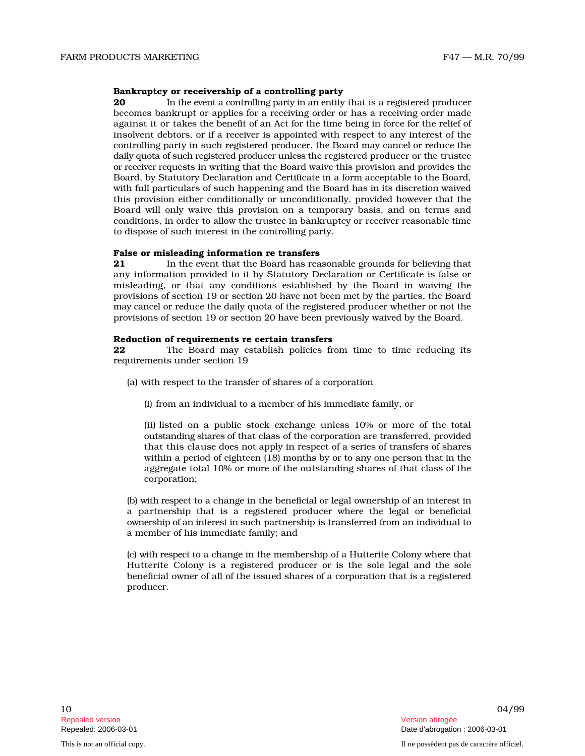#### Bankruptcy or receivership of a controlling party

20 In the event a controlling party in an entity that is a registered producer becomes bankrupt or applies for a receiving order or has a receiving order made against it or takes the benefit of an Act for the time being in force for the relief of insolvent debtors, or if a receiver is appointed with respect to any interest of the controlling party in such registered producer, the Board may cancel or reduce the daily quota of such registered producer unless the registered producer or the trustee or rece iver r e quests in writing that the Board waive this provision and provides the B oard, by Statutory Declaration and Certificate in a form acceptable to the Board, with full particulars of such happening and the Board has in its discretion waived this provision either conditionally or unconditionally, provided however that the Board will only waive this provision on a temporary basis, and on terms and conditions, in order to allow the trustee in bankruptcy or receiver reasonable time to dispose of such interest in the controlling party.

#### False or misleading information re transfers

 $21$ the event that the Board has reasonable grounds for believing that any information provided to it by Statutory Declaration or Certificate is false or misleading, or that any conditions established by the Board in waiving the provisions of sec t i on 19 or sec t i on 20 have not been met by the parties, the Board m ay c ancel or reduce the daily quota of the registered producer whether or not the provisions of section 19 or section 20 have been previously waived by the Board.

#### Reduction of requirements re certain transfers

**22** The Board may establish policies from time to time reducing its requirements under section 19

- (a) with respect to the transfer of shares of a corporation
	- (i) from an individual to a member of his immediate family, or

(ii) listed on a public stock exchange unless 10% or more of the total o u t s t an d i ng s h ares of that class of the corporation are transferred, provided that this clause does not apply in respect of a series of transfers of shares within a period of eighteen (18) months by or to any one person that in the aggregate total 10% or more of the outstanding shares of that class of the corporation;

( b ) wi th res p ect to a change in the beneficial or legal ownership of an interest in a partnership that is a registered producer where the legal or beneficial ownership of an interest in such partnership is transferred from an individual to a member of his immediate family; and

(c) with respect to a change in the membership of a Hutterite Colony where that Hutterite Colony is a registered producer or is the sole legal and the sole beneficial owner of all of the issued shares of a corporation that is a registered producer.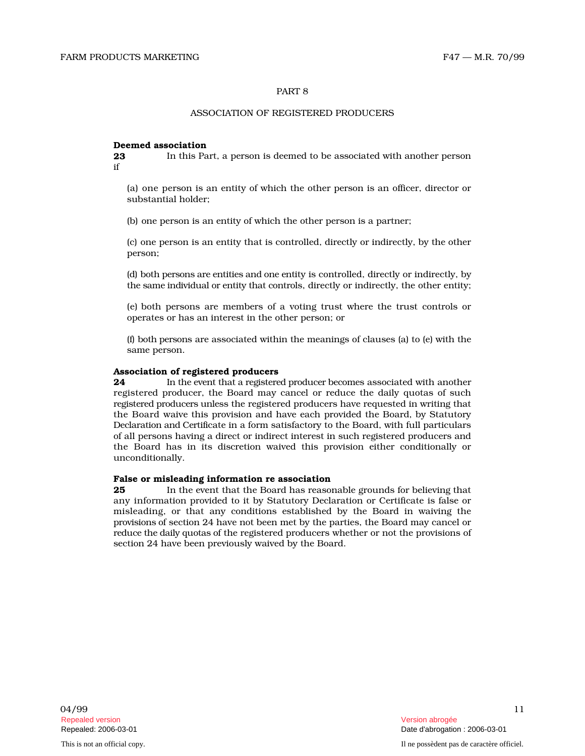# PART 8

# ASSOCIATION OF REGISTERED PRODUCERS

## Deemed association

**23** In this Part, a person is deemed to be associated with another person if

(a) one person is an entity of which the other person is an officer, director or substantial holder;

(b) one person is an entity of which the other person is a partner;

(c) one person is an entity that is controlled, directly or indirectly, by the other person;

(d) both p e r s o ns are e n ti ties and o ne e n tity is controlled, directly or indirectly, by the same individual or entity that controls, directly or indirectly, the other entity;

(e) both persons are members of a voting trust where the trust controls or operates or has an interest in the other person; or

(f) both persons are associated within the meanings of clauses (a) to (e) with the same person.

#### Association of registered producers

 $24$ In the event that a registered producer becomes associated with another registered producer, the Board may cancel or reduce the daily quotas of such registered producers unless the registered producers have requested in writing that the Board waive this provision and have each provided the Board, by Statutory Declaration and Certificate in a form satisfactory to the Board, with full particulars of all p e r s o ns h avi ng a direct or indirect interest in such registered producers and the Board has in its discretion waived this provision either conditionally or unconditionally.

### False or misleading information re association

 $25\,$ the event that the Board has reasonable grounds for believing that any information provided to it by Statutory Declaration or Certificate is false or misleading, or that any conditions established by the Board in waiving the provisions of section 24 have not been met by the parties, the Board may cancel or reduce the daily quotas of the registered producers whether or not the provisions of section 24 have been previously waived by the Board.

This is not an official copy. Il ne possèdent pas de caractère officiel.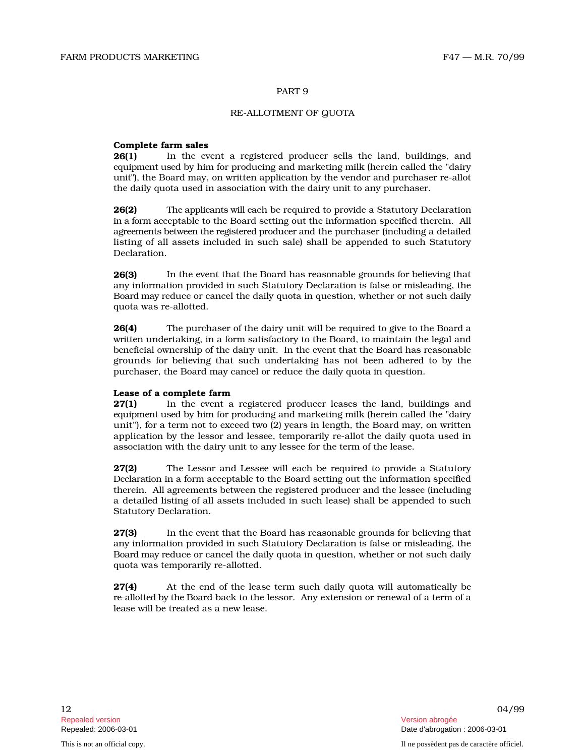# PART 9

## RE-ALLOTMENT OF QUOTA

#### Complete farm sales

 $26(1)$ the event a registered producer sells the land, buildings, and e qu i p m e nt used by him for producing and marketing milk (herein called the "dairy u n it" ) , the Board may, on written application by the vendor and purchaser re-allot the daily quota used in association with the dairy unit to any purchaser.

26(2) The applicants will each be required to provide a Statutory Declaration in a fo rm a cceptable to the Board setting out the information specified therein. All agree m e n ts b e tween the r e gi s t e r ed p r o d ucer and the purchaser (including a detailed listing of all assets included in such sale) shall be appended to such Statutory Declaration.

 $26(3)$ the event that the Board has reasonable grounds for believing that any information provided in such Statutory Declaration is false or misleading, the Board may reduce or cancel the daily quota in question, whether or not such daily quota was re-allotted.

 $26(4)$ purchaser of the dairy unit will be required to give to the Board a written undertaking, in a form satisfactory to the Board, to maintain the legal and beneficial ownership of the dairy unit. In the event that the Board has reasonable grounds for believing that such undertaking has not been adhered to by the purchaser, the Board may cancel or reduce the daily quota in question.

# Lease of a complete farm

27(1) In the event a registered producer leases the land, buildings and e qu i p m e nt used by him for producing and marketing milk (herein called the "dairy unit"), for a term not to exceed two (2) years in length, the Board may, on written application by the lessor and lessee, temporarily re-allot the daily quota used in association with the dairy unit to any lessee for the term of the lease.

27(2) The Lessor and Lessee will each be required to provide a Statutory Dec l arati on in a form acceptable to the Board setting out the information specified t herein. All agreements between the registered producer and the lessee (including a detailed listing of all assets included in such lease) shall be appended to such Statutory Declaration.

 $27(3)$ the event that the Board has reasonable grounds for believing that any information provided in such Statutory Declaration is false or misleading, the Board may reduce or cancel the daily quota in question, whether or not such daily quota was temporarily re-allotted.

27(4) At the end of the lease term such daily quota will automatically be r e - all ott ed by the Board back to the lessor. Any extension or renewal of a term of a lease will be treated as a new lease.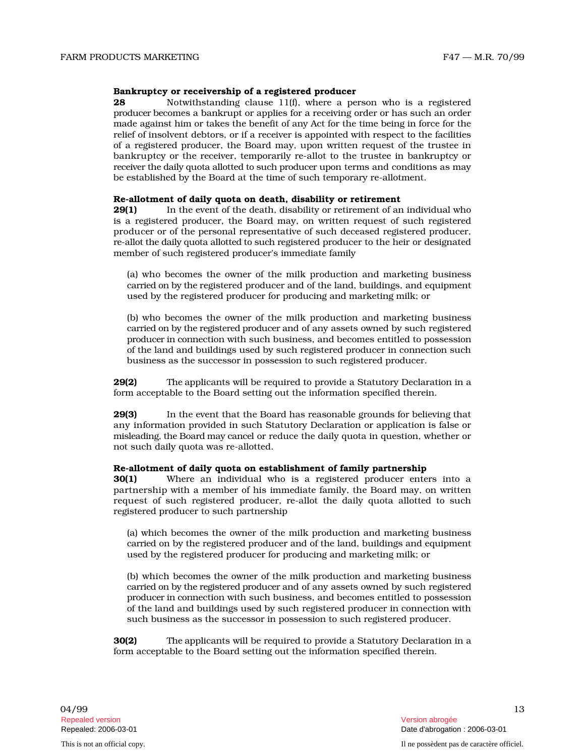#### Bankruptcy or receivership of a registered producer

28 Notwithstanding clause 11(f), where a person who is a registered p r o d ucer b ecomes a bankrupt or applies for a receiving order or has such an order made against him or takes the benefit of any Act for the time being in force for the relief of insolvent debtors, or if a receiver is appointed with respect to the facilities of a registered producer, the Board may, upon written request of the trustee in bankruptcy or the receiver, temporarily re-allot to the trustee in bankruptcy or receiver the daily quota allotted to such producer upon terms and conditions as may be established by the Board at the time of such temporary re-allotment.

# Re-allotment of daily quota on death, disability or retirement

**29(1)** In the event of the death, disability or retirement of an individual who is a registered producer, the Board may, on written request of such registered producer or of the personal representative of such deceased registered producer, re-allot the daily quota allotted to such registered producer to the heir or designated member of such registered producer's immediate family

(a) who becomes the owner of the milk production and marketing business c arri ed on by the registered producer and of the land, buildings, and equipment used by the registered producer for producing and marketing milk; or

(b) who becomes the owner of the milk production and marketing business carried on by the registered producer and of any assets owned by such registered p r o d ucer in c onnection with such business, and becomes entitled to possession of the land and buildings used by such registered producer in connection such business as the successor in possession to such registered producer.

29(2) The applicants will be required to provide a Statutory Declaration in a form acceptable to the Board setting out the information specified therein.

 $29(3)$ the event that the Board has reasonable grounds for believing that any information provided in such Statutory Declaration or application is false or misleading, the Board may cancel or reduce the daily quota in question, whether or not such daily quota was re-allotted.

## Re-allotment of daily quota on establishment of family partnership

**30(1)** Where an individual who is a registered producer enters into a partnership with a member of his immediate family, the Board may, on written request of such registered producer, re-allot the daily quota allotted to such registered producer to such partnership

(a) which becomes the owner of the milk production and marketing business c arri ed on by the registered producer and of the land, buildings and equipment used by the registered producer for producing and marketing milk; or

(b) which becomes the owner of the milk production and marketing business carried on by the registered producer and of any assets owned by such registered p r o d ucer in c onnection with such business, and becomes entitled to possession of the land and buildings used by such registered producer in connection with such business as the successor in possession to such registered producer.

30(2) The applicants will be required to provide a Statutory Declaration in a form acceptable to the Board setting out the information specified therein.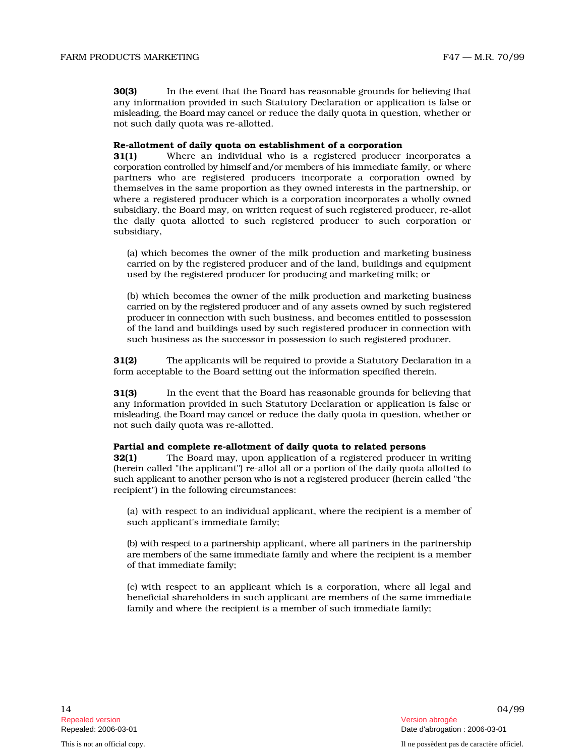$30(3)$ the event that the Board has reasonable grounds for believing that any information provided in such Statutory Declaration or application is false or misleading, the Board may cancel or reduce the daily quota in question, whether or not such daily quota was re-allotted.

# Re-allotment of daily quota on establishment of a corporation

31(1) Where an individual who is a registered producer incorporates a corporation controlled by himself and/or members of his immediate family, or where partners who are registered producers incorporate a corporation owned by themselves in the same proportion as they owned interests in the partnership, or where a registered producer which is a corporation incorporates a wholly owned subsidiary, the Board may, on written request of such registered producer, re-allot the daily quota allotted to such registered producer to such corporation or subsidiary,

(a) which becomes the owner of the milk production and marketing business c arri ed on by the registered producer and of the land, buildings and equipment used by the registered producer for producing and marketing milk; or

(b) which becomes the owner of the milk production and marketing business carried on by the registered producer and of any assets owned by such registered p r o d ucer in c onnection with such business, and becomes entitled to possession of the land and buildings used by such registered producer in connection with such business as the successor in possession to such registered producer.

31(2) The applicants will be required to provide a Statutory Declaration in a form acceptable to the Board setting out the information specified therein.

 $31(3)$ the event that the Board has reasonable grounds for believing that any information provided in such Statutory Declaration or application is false or misleading, the Board may cancel or reduce the daily quota in question, whether or not such daily quota was re-allotted.

# Partial and complete re-allotment of daily quota to related persons

32(1) The Board may, upon application of a registered producer in writing (herein called "the applicant") re-allot all or a portion of the daily quota allotted to such applicant to another person who is not a registered producer (herein called "the recipient") in the following circumstances:

(a) with respect to an individual applicant, where the recipient is a member of such applicant's immediate family;

(b) with respect to a partnership applicant, where all partners in the partnership are members of the same immediate family and where the recipient is a member of that immediate family;

(c) with respect to an applicant which is a corporation, where all legal and beneficial shareholders in such applicant are members of the same immediate family and where the recipient is a member of such immediate family;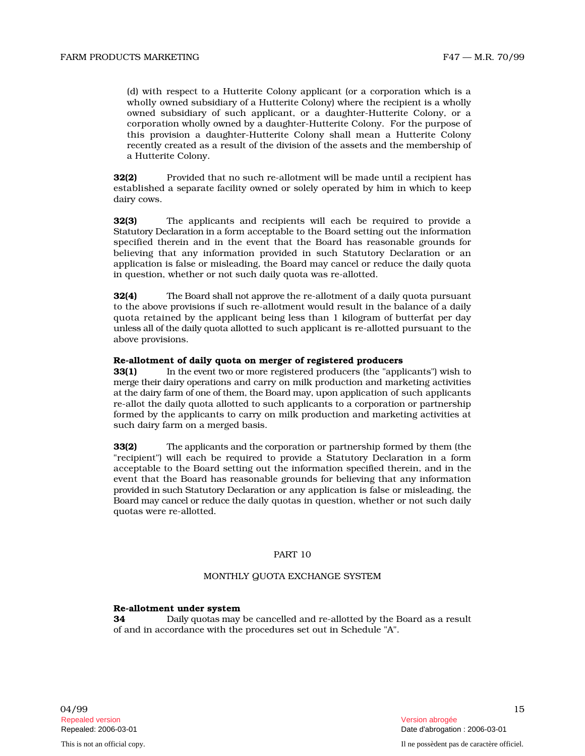recently created as a result of the division of the assets and the membership of a Hutterite Colony.

32(2) Provided that no such re-allotment will be made until a recipient has established a separate facility owned or solely operated by him in which to keep dairy cows.

 $32(3)$ applicants and recipients will each be required to provide a Statutory Declaration in a form acceptable to the Board setting out the information specified therein and in the event that the Board has reasonable grounds for believing that any information provided in such Statutory Declaration or an application is false or misleading, the Board may cancel or reduce the daily quota in question, whether or not such daily quota was re-allotted.

32(4) The Board shall not approve the re-allotment of a daily quota pursuant to the above provisions if such re-allotment would result in the balance of a daily quota retained by the applicant being less than 1 kilogram of butterfat per day unless all of the daily quota allotted to such applicant is re-allotted pursuant to the above provisions.

# Re-allotment of daily quota on merger of registered producers

33(1) In the event two or more registered producers (the "applicants") wish to m e rge th e ir d ai ry o p e rations and carry on milk production and marketing activities at the dairy farm of one of them, the Board may, upon application of such applicants re-allot the daily quota allotted to such applicants to a corporation or partnership formed by the applicants to carry on milk production and marketing activities at such dairy farm on a merged basis.

bland) respect to a thin there be the proposition which is a corporation which is a controlled by the proposition which is a probable of the sympatom of the sympatom of the sympatom of the sympatom sympatom of the sympato 33(2) The applicants and the corporation or partnership formed by them (the "recipient") will each be required to provide a Statutory Declaration in a form acceptable to the Board setting out the information specified therein, and in the event that the Board has reasonable grounds for believing that any information provided in such Statutory Declaration or any application is false or misleading, the B o ard m ay c ancel or r e d uce the daily quotas in question, whether or not such daily quotas were re-allotted.

# PART 10

## MONTHLY QUOTA EXCHANGE SYSTEM

# Re-allotment under system

34 D aily qu o t as may be cancelled and re-allotted by the Board as a result of and in accordance with the procedures set out in Schedule "A".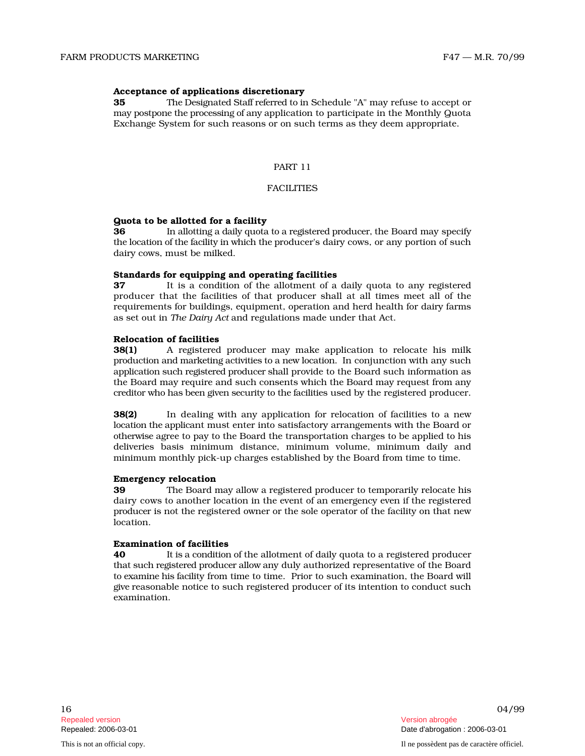# Acceptance of applications discretionary

35 The Des i gn at ed S t aff r e ferr ed to i n Schedule "A" may refuse to accept or may postpone the processing of any application to participate in the Monthly Quota Exchange System for such reasons or on such terms as they deem appropriate.

#### PART 11

# **FACILITIES**

# Quota to be allotted for a facility

36 In allotting a daily quota to a registered producer, the Board may specify the location of the facility in which the producer's dairy cows, or any portion of such dairy cows, must be milked.

#### Standards for equipping and operating facilities

37 It is a condition of the allotment of a daily quota to any registered producer that the facilities of that producer shall at all times meet all of the requirements for buildings, equipment, operation and herd health for dairy farms as set out in *The Dairy Act* and regulations made under that Act.

#### Relocation of facilities

38(1) A registered producer may make application to relocate his milk production and marketing activities to a new location. In conjunction with any such application such registered producer shall provide to the Board such information as the Board may require and such consents which the Board may request from any creditor who has been given security to the facilities used by the registered producer.

38(2) In dealing with any application for relocation of facilities to a new l o c ati on the appli cant must enter into satisfactory arrangements with the Board or o th e rwise agree to pay to the Board the transportation charges to be applied to his deliveries basis minimum distance, minimum volume, minimum daily and minimum monthly pick-up charges established by the Board from time to time.

# Emergency relocation

39 The Board may allow a registered producer to temporarily relocate his dairy cows to another location in the event of an emergency even if the registered p r o d ucer is not the registered owner or the sole operator of the facility on that new location.

# Examination of facilities

40 It is a condition of the allotment of daily quota to a registered producer that such registered producer allow any duly authorized representative of the Board to examine his facility from time to time. Prior to such examination, the Board will give reasonable notice to such registered producer of its intention to conduct such examination.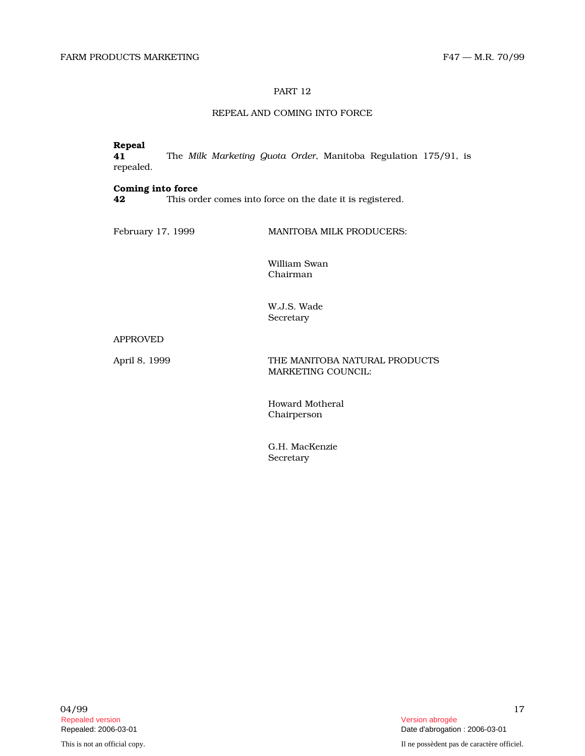# PART 12

# REPEAL AND COMING INTO FORCE

# Repeal<br>41

**41** The Milk Marketing Quota Order, Manitoba Regulation 175/91, is repealed.

# Coming into force

42 This order comes into force on the date it is registered.

February 17, 1999 MANITOBA MILK PRODUCERS:

William Swan Chairman

W.J.S. Wade Secretary

APPROVED

April 8, 1999 THE MANITOBA NATURAL PRODUCTS MARKETING COUNCIL:

> Howard Motheral Chairperson

G.H. MacKenzie Secretary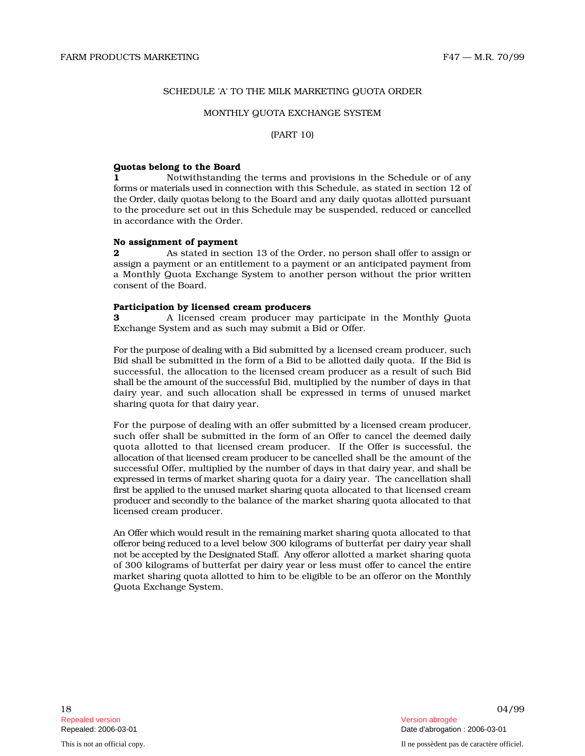# SCHEDULE 'A' TO THE MILK MARKETING QUOTA ORDER

## MONTHLY QUOTA EXCHANGE SYSTEM

## (PART 10)

# Quotas belong to the Board

1 Notwithstanding the terms and provisions in the Schedule or of any forms or materials used in connection with this Schedule, as stated in section 12 of the Order, daily quotas belong to the Board and any daily quotas allotted pursuant to the procedure set out in this Schedule may be suspended, reduced or cancelled in accordance with the Order.

#### No assignment of payment

**2** As stated in section 13 of the Order, no person shall offer to assign or assign a p ay m e nt or an entitlement to a payment or an anticipated payment from a Monthly Quota Exchange System to another person without the prior written consent of the Board.

#### Participation by licensed cream producers

**3** A licensed cream producer may participate in the Monthly Quota Exchange System and as such may submit a Bid or Offer.

For the purpose of dealing with a Bid submitted by a licensed cream producer, such Bid shall be submitted in the form of a Bid to be allotted daily quota. If the Bid is successful, the allocation to the licensed cream producer as a result of such Bid s h all be the am o u nt of the s uccessful Bid, multiplied by the number of days in that dairy year, and such allocation shall be expressed in terms of unused market sharing quota for that dairy year.

For the purpose of dealing with an offer submitted by a licensed cream producer, such offer shall be submitted in the form of an Offer to cancel the deemed daily quota allotted to that licensed cream producer. If the Offer is successful, the all o c ati on of th at lice nsed c r e am p r o d ucer to be c ancelled shall be the amount of the s uccessful Offer, multiplied by the number of days in that dairy year, and shall be expressed in terms of market sharing quota for a dairy year. The cancellation shall first be applied to the unused market sharing quota allocated to that licensed cream producer and secondly to the balance of the market sharing quota allocated to that licensed cream producer.

An Offer which would result in the remaining market sharing quota allocated to that offe r or b e i ng r e d uced to a level below 300 kilograms of butterfat per dairy year shall not be accepted by the Designated Staff. Any offeror allotted a market sharing quota of 300 kilograms of butterfat per dairy year or less must offer to cancel the entire market sharing quota allotted to him to be eligible to be an offeror on the Monthly Quota Exchange System.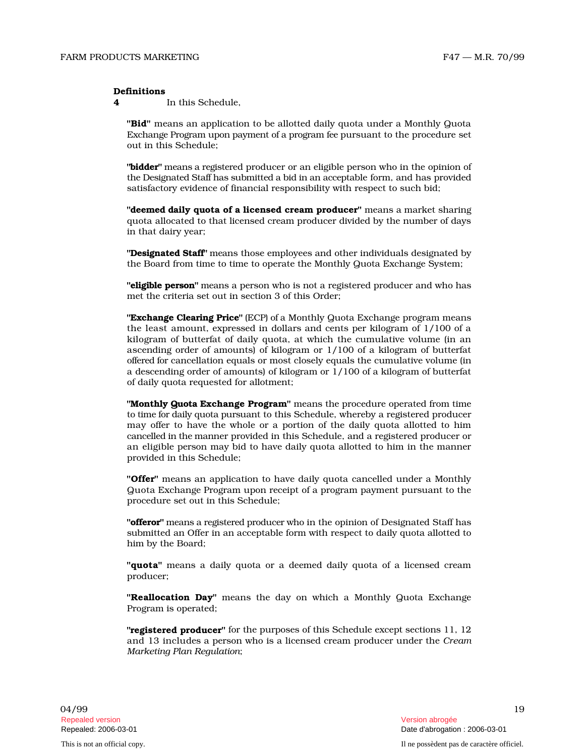#### Definitions

4 In this Schedule,

"Bid" means an application to be allotted daily quota under a Monthly Quota Exchange Program upon payment of a program fee pursuant to the procedure set out in this Schedule;

"**bidder**" means a registered producer or an eligible person who in the opinion of the Designated Staff has submitted a bid in an acceptable form, and has provided satisfactory evidence of financial responsibility with respect to such bid;

"deemed daily quota of a licensed cream producer" means a market sharing quota all o c a t ed to that licensed cream producer divided by the number of days in that dairy year;

**"Designated Staff"** means those employees and other individuals designated by the Board from time to time to operate the Monthly Quota Exchange System;

"eligible person" means a person who is not a registered producer and who has met the criteria set out in section 3 of this Order;

**"Exchange Clearing Price"** (ECP) of a Monthly Quota Exchange program means the least amount, expressed in dollars and cents per kilogram of 1/100 of a kilogram of butterfat of daily quota, at which the cumulative volume (in an ascending order of amounts) of kilogram or 1/100 of a kilogram of butterfat offered for cancellation equals or most closely equals the cumulative volume (in a descending order of amounts) of kilogram or 1/100 of a kilogram of butterfat of daily quota requested for allotment;

"Monthly Quota Exchange Program" means the procedure operated from time to time for daily quota pursuant to this Schedule, whereby a registered producer may offer to have the whole or a portion of the daily quota allotted to him cancelled in the manner provided in this Schedule, and a registered producer or an eligible person may bid to have daily quota allotted to him in the manner provided in this Schedule;

"Offer" means an application to have daily quota cancelled under a Monthly Quota Exchange Program upon receipt of a program payment pursuant to the procedure set out in this Schedule;

"**offeror**" means a registered producer who in the opinion of Designated Staff has s u bmitted an Offer in an acceptable form with respect to daily quota allotted to him by the Board;

"**quota**" means a daily quota or a deemed daily quota of a licensed cream producer;

"Reallocation Day" means the day on which a Monthly Quota Exchange Program is operated;

**"registered producer"** for the purposes of this Schedule except sections 11, 12 and 13 includes a person who is a licensed cream producer under the *Cream Marketing Plan Regulation* ;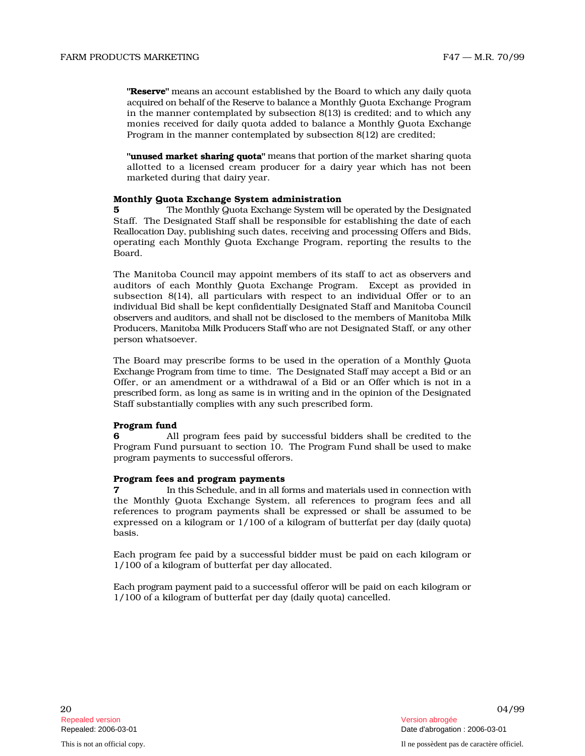Program in the manner contemplated by subsection 8(12) are credited;

**"unused market sharing quota"** means that portion of the market sharing quota allotted to a licensed cream producer for a dairy year which has not been marketed during that dairy year.

# Monthly Quota Exchange System administration

**5** 5 The Monthly Quota Exchange System will be operated by the Designated Staff. The Designated Staff shall be responsible for establishing the date of each Re all o c ati on D ay, publishing such dates, receiving and processing Offers and Bids, operating each Monthly Quota Exchange Program, reporting the results to the Board.

**These of the main and anomy the side limit of the limit and which the system of the main and anomy the system in the main system of the system of the main system is created to taking quoties to the system in the main sys** The Manitoba Council may appoint members of its staff to act as observers and auditors of each Monthly Quota Exchange Program. Except as provided in subsection 8(14), all particulars with respect to an individual Offer or to an individual B id s h all be kept confidentially Designated Staff and Manitoba Council observers and auditors, and shall not be disclosed to the members of Manitoba Milk Producers, Manitoba Milk Producers Staff who are not Designated Staff, or any other person whatsoever.

The Board may prescribe forms to be used in the operation of a Monthly Quota Exchange Program from time to time. The Designated Staff may accept a Bid or an Offer, or an amendment or a withdrawal of a Bid or an Offer which is not in a p resc rib ed form, as long as same is in writing and in the opinion of the Designated Staff substantially complies with any such prescribed form.

# Program fund

6 All program fees paid by successful bidders shall be credited to the Program Fund pursuant to section 10. The Program Fund shall be used to make program payments to successful offerors.

# Program fees and program payments

**7** In this Schedule, and in all forms and materials used in connection with the Monthly Quota Exchange System, all references to program fees and all references to program payments shall be expressed or shall be assumed to be expressed on a kilogram or 1/100 of a kilogram of butterfat per day (daily quota) basis.

Each program fee paid by a successful bidder must be paid on each kilogram or 1/100 of a kilogram of butterfat per day allocated.

Each program payment paid to a successful offeror will be paid on each kilogram or 1/100 of a kilogram of butterfat per day (daily quota) cancelled.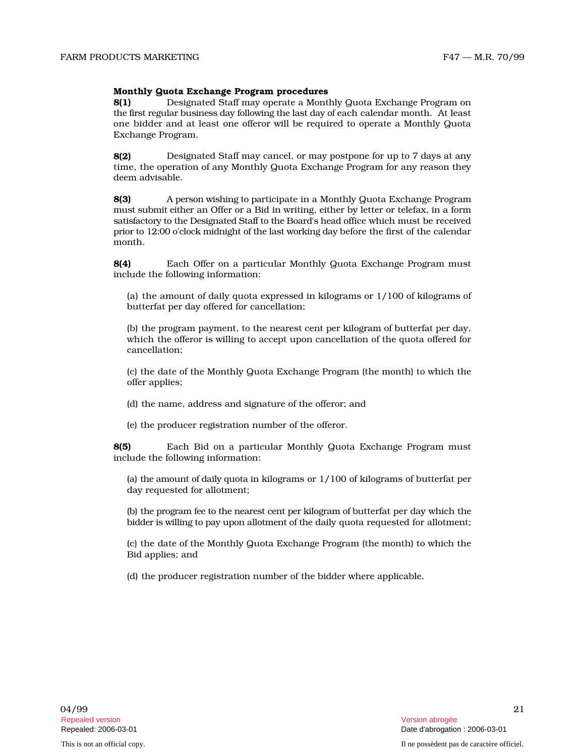# Monthly Quota Exchange Program procedures

**8(1)** Designated Staff may operate a Monthly Quota Exchange Program on the first regular business day following the last day of each calendar month. At least one bidder and at least one offeror will be required to operate a Monthly Quota Exchange Program.

**8(2)** Designated Staff may cancel, or may postpone for up to 7 days at any time, the operation of any Monthly Quota Exchange Program for any reason they deem advisable.

 $8(3)$ p e r s on wi s h i ng to p articipate in a Monthly Quota Exchange Program m u st s u b m it e i th er an Offer or a Bid in writing, either by letter or telefax, in a form satisfactory to the Designated Staff to the Board's head office which must be received prior to 12:00 o'clock midnight of the last working day before the first of the calendar month.

8(4) ••• Each Offer on a particular Monthly Quota Exchange Program must include the following information:

(a) the amount of daily quota expressed in kilograms or  $1/100$  of kilograms of butterfat per day offered for cancellation;

(b) the program payment, to the nearest cent per kilogram of butterfat per day, which the offeror is willing to accept upon cancellation of the quota offered for cancellation;

(c) the date of the Monthly Quota Exchange Program (the month) to which the offer applies;

(d) the name, address and signature of the offeror; and

(e) the producer registration number of the offeror.

**8(5)** Each Bid on a particular Monthly Quota Exchange Program must include the following information:

(a) the amount of daily quota in kilograms or 1/100 of kilograms of butterfat per day requested for allotment;

(b) the program fee to the nearest ce nt p er kil o gram of b utterfat per day which the bidder is willing to pay upon allotment of the daily quota requested for allotment;

(c) the date of the Monthly Quota Exchange Program (the month) to which the Bid applies; and

(d) the producer registration number of the bidder where applicable.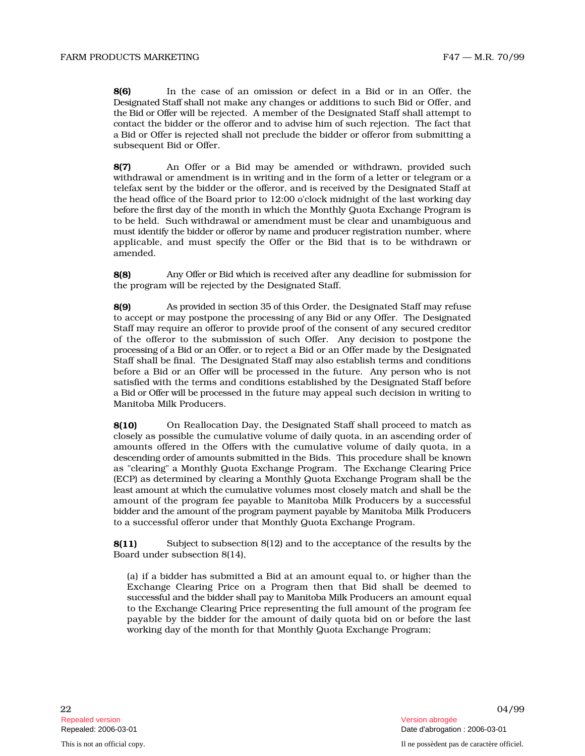8(6) In the case of an omission or defect in a Bid or in an Offer, the Des i gn at ed S t aff s h all not make any changes or additions to such Bid or Offer, and the B id or Offer will be rejected. A member of the Designated Staff shall attempt to c o ntact the bidder or the offeror and to advise him of such rejection. The fact that a Bid or Offer is rejected shall not preclude the bidder or offeror from submitting a subsequent Bid or Offer.

8(7) An Offer or a Bid may be amended or withdrawn, provided such withdrawal or amendment is in writing and in the form of a letter or telegram or a telefax sent by the bidder or the offeror, and is received by the Designated Staff at the h ead office of the Board prior to 12:00 o'clock midnight of the last working day b e fo re the fi r st day of the month in which the Monthly Quota Exchange Program is to be h e l d. Such withdrawal or amendment must be clear and unambiguous and must identify the bidder or offeror by name and producer registration number, where applicable, and must specify the Offer or the Bid that is to be withdrawn or amended.

8(8) Any Offer or B id wh i ch i s received after any deadline for submission for the program will be rejected by the Designated Staff.

8(9) As p r ovi d ed in sec ti on 35 of th i s Order, the Designated Staff may refuse to accept or may postpone the processing of any Bid or any Offer. The Designated Staff may require an offeror to provide proof of the consent of any secured creditor of the offeror to the submission of such Offer. Any decision to postpone the processing of a Bid or an Offer, or to reject a Bid or an Offer made by the Designated Staff shall be final. The Designated Staff may also establish terms and conditions before a Bid or an Offer will be processed in the future. Any person who is not satisfied with the terms and conditions established by the Designated Staff before a B id or Offer will be p r ocessed in the future may appeal such decision in writing to Manitoba Milk Producers.

8(10) On Reallocation Day, the Designated Staff shall proceed to match as closely as possible the cumulative volume of daily quota, in an ascending order of amounts offered in the Offers with the cumulative volume of daily quota, in a descending order of amounts submitted in the Bids. This procedure shall be known as "clearing" a Monthly Quota Exchange Program. The Exchange Clearing Price (ECP) as determined by clearing a Monthly Quota Exchange Program shall be the least amount at which the cumulative volumes most closely match and shall be the amount of the program fee payable to Manitoba Milk Producers by a successful bidder and the amount of the program payment payable by Manitoba Milk Producers to a successful offeror under that Monthly Quota Exchange Program.

8(11) S u bject to s ubsection 8(12) and to the acceptance of the results by the Board under subsection 8(14),

(a) if a bidder has submitted a Bid at an amount equal to, or higher than the Exchange Clearing Price on a Program then that Bid shall be deemed to successful and the bidder shall pay to Manitoba Milk Producers an amount equal to the Exchange Clearing Price representing the full amount of the program fee payable by the bidder for the amount of daily quota bid on or before the last working day of the month for that Monthly Quota Exchange Program;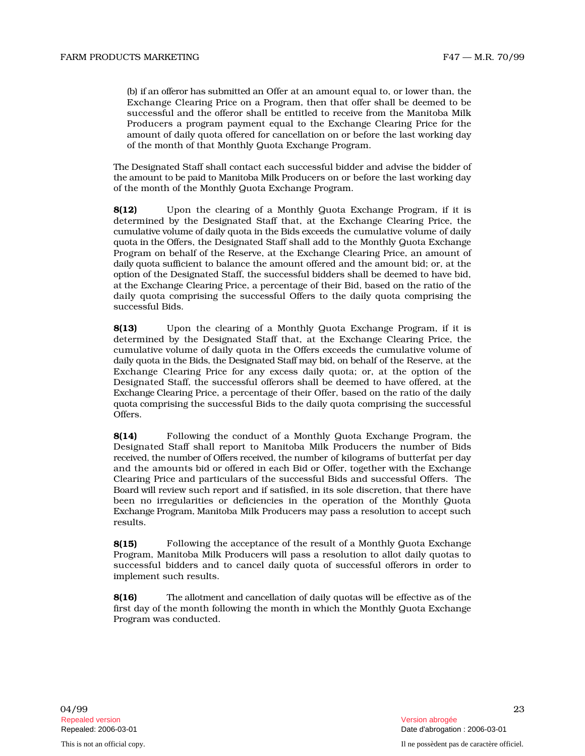of the month of that Monthly Quota Exchange Program.

The Designated Staff shall contact each successful bidder and advise the bidder of the amount to be paid to Manitoba Milk Producers on or before the last working day of the month of the Monthly Quota Exchange Program.

In an advocation in the solution of an amount equal to sell with a solution of the results of the sell of the selling term in the one of the syle of the state of the state in the control of the state and the state of the 8(12) Upon the clearing of a Monthly Quota Exchange Program, if it is determined by the Designated Staff that, at the Exchange Clearing Price, the cumulative volume of daily quota in the Bids exceeds the cumulative volume of daily qu o ta in the O ffers, the Designated Staff shall add to the Monthly Quota Exchange Program on behalf of the Reserve, at the Exchange Clearing Price, an amount of daily quota sufficient to balance the amount offered and the amount bid; or, at the o p tion of the Designated Staff, the successful bidders shall be deemed to have bid, at the Exchange Clearing Price, a percentage of their Bid, based on the ratio of the daily quota comprising the successful Offers to the daily quota comprising the successful Bids.

8(13) Upon the clearing of a Monthly Quota Exchange Program, if it is determined by the Designated Staff that, at the Exchange Clearing Price, the cumulative volume of daily quota in the Offers exceeds the cumulative volume of daily quota in the Bids, the Designated Staff may bid, on behalf of the Reserve, at the Exchange Clearing Price for any excess daily quota; or, at the option of the Designated Staff, the successful offerors shall be deemed to have offered, at the Exc h an ge C l earing Price, a percentage of their Offer, based on the ratio of the daily qu o ta comprising the successful Bids to the daily quota comprising the successful Offers.

8(14) Following the conduct of a Monthly Quota Exchange Program, the Designated Staff shall report to Manitoba Milk Producers the number of Bids rece ive d, the n u mb er of Offe rs rece ive d, the n u mber of kilograms of butterfat per day and the amounts bid or offered in each Bid or Offer, together with the Exchange Clearing Price and particulars of the successful Bids and successful Offers. The B o ard will review such report and if satisfied, in its sole discretion, that there have been no irregularities or deficiencies in the operation of the Monthly Quota Exchange Program, Manitoba Milk Producers may pass a resolution to accept such results.

8(15) Following the acceptance of the result of a Monthly Quota Exchange Program, Manitoba Milk Producers will pass a resolution to allot daily quotas to successful bidders and to cancel daily quota of successful offerors in order to implement such results.

8(16) The all o tm e nt and c ancell ation of daily quotas will be effective as of the first day of the month following the month in which the Monthly Quota Exchange Program was conducted.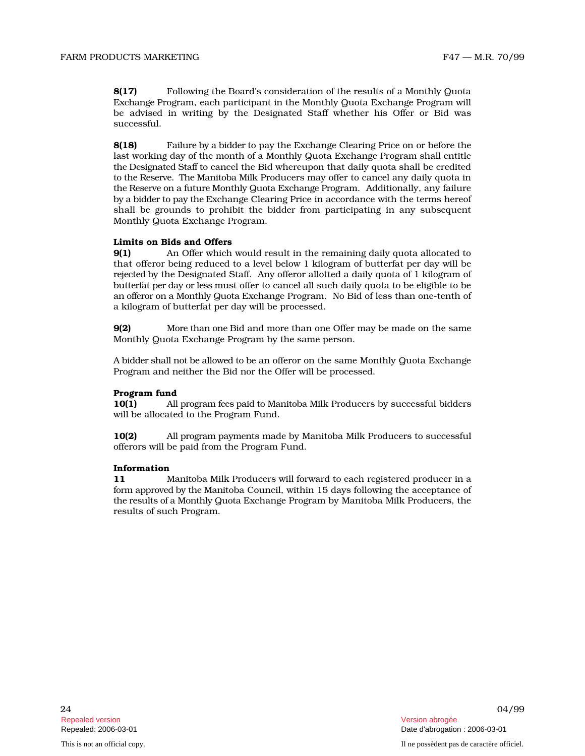8(17) Following the Board's consideration of the results of a Monthly Quota Exchange Program, each participant in the Monthly Quota Exchange Program will be advised in writing by the Designated Staff whether his Offer or Bid was successful.

8(18) Fail u re by a b idd er to pay the Exchange Clearing Price on or before the l ast working day of the month of a Monthly Quota Exchange Program shall entitle the Designated Staff to cancel the Bid whereupon that daily quota shall be credited to the Reserve. The Manitoba Milk Producers may offer to cancel any daily quota in the Reserve on a future Monthly Quota Exchange Program. Additionally, any failure by a bidder to pay the Exchange Clearing Price in accordance with the terms hereof shall be grounds to prohibit the bidder from participating in any subsequent Monthly Quota Exchange Program.

# Limits on Bids and Offers

 $9(1)$ Offer which would result in the remaining daily quota allocated to that offeror being reduced to a level below 1 kilogram of butterfat per day will be r ejec t ed by the Designated Staff. Any offeror allotted a daily quota of 1 kilogram of butterfat per day or less must offer to cancel all such daily quota to be eligible to be an offeror on a Monthly Quota Exchange Program. No Bid of less than one-tenth of a kilogram of butterfat per day will be processed.

9(2) M o re th an o ne Bid and more than one Offer may be made on the same Monthly Quota Exchange Program by the same person.

A bidder shall not be allowed to be an offeror on the same Monthly Quota Exchange Program and neither the Bid nor the Offer will be processed.

# Program fund

10(1) All program fees paid to Manitoba Milk Producers by successful bidders will be allocated to the Program Fund.

10(2) All p r o gram p aym e nts made by Manitoba Milk Producers to successful offerors will be paid from the Program Fund.

# Information

11 M anitoba Milk Producers will forward to each registered producer in a form approved by the Manitoba Council, within 15 days following the acceptance of the results of a Monthly Quota Exchange Program by Manitoba Milk Producers, the results of such Program.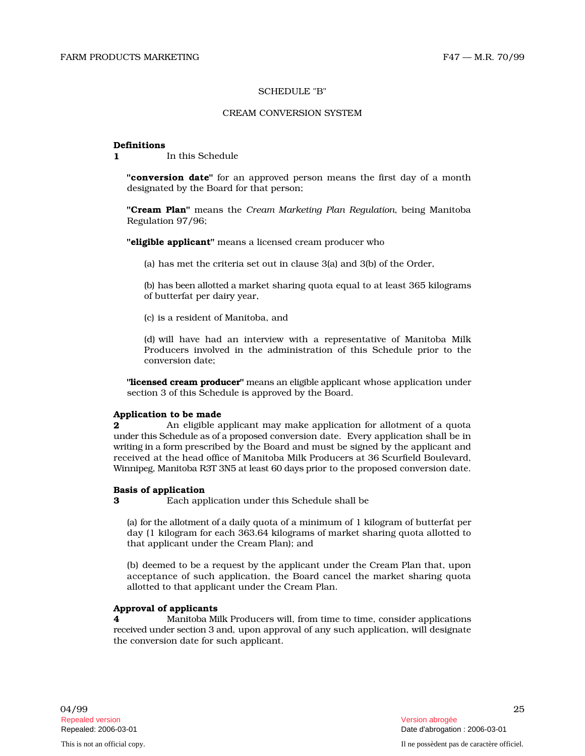# SCHEDULE "B"

## CREAM CONVERSION SYSTEM

## Definitions

1 In this Schedule

"conversion date" for an approved person means the first day of a month designated by the Board for that person;

"**Cream Plan**" means the *Cream Marketing Plan Regulation, being Manitoba* Regulation 97/96;

"eligible applicant" means a licensed cream producer who

(a) has met the criteria set out in clause 3(a) and 3(b) of the Order,

(b) has been allotted a market sharing quota equal to at least 365 kilograms of butterfat per dairy year,

(c) is a resident of Manitoba, and

(d) will have had an interview with a representative of Manitoba Milk Producers involved in the administration of this Schedule prior to the conversion date;

**"licensed cream producer"** means an eligible applicant whose application under section 3 of this Schedule is approved by the Board.

# Application to be made

**2** An eligible applicant may make application for allotment of a quota under this Schedule as of a proposed conversion date. Every application shall be in wri ti ng in a fo rm prescribed by the Board and must be signed by the applicant and received at the head office of Manitoba Milk Producers at 36 Scurfield Boulevard, Winnipeg, Manitoba R3T 3N5 at least 60 days prior to the proposed conversion date.

# Basis of application

3 Each application under this Schedule shall be

(a) for the allotment of a daily quota of a minimum of 1 kilogram of butterfat per day (1 kilogram for each 363.64 kilograms of market sharing quota allotted to that applicant under the Cream Plan); and

(b) deemed to be a request by the applicant under the Cream Plan that, upon acceptance of such application, the Board cancel the market sharing quota allotted to that applicant under the Cream Plan.

# Approval of applicants

4 Manitoba Mil k Producers will, from time to time, consider applications received under section 3 and, upon approval of any such application, will designate the conversion date for such applicant.